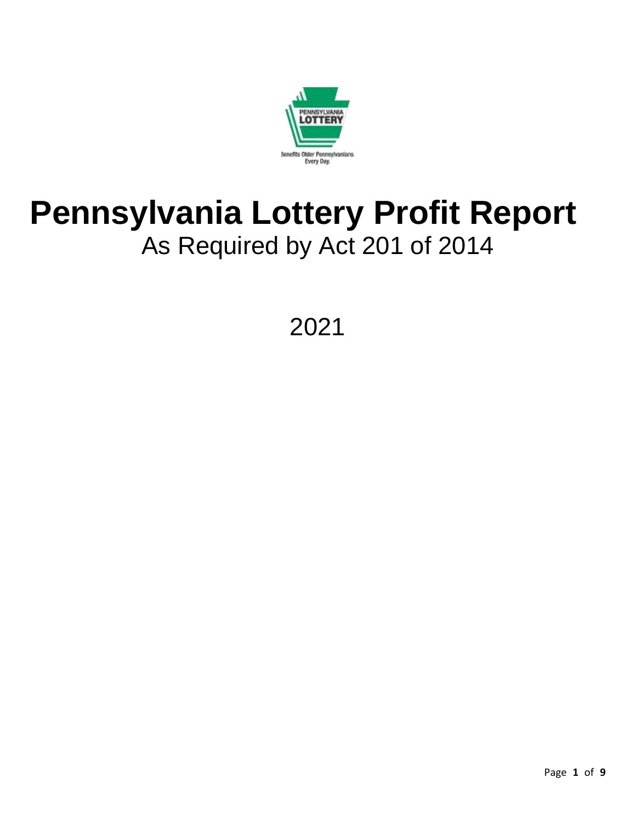

# **Pennsylvania Lottery Profit Report**  As Required by Act 201 of 2014

2021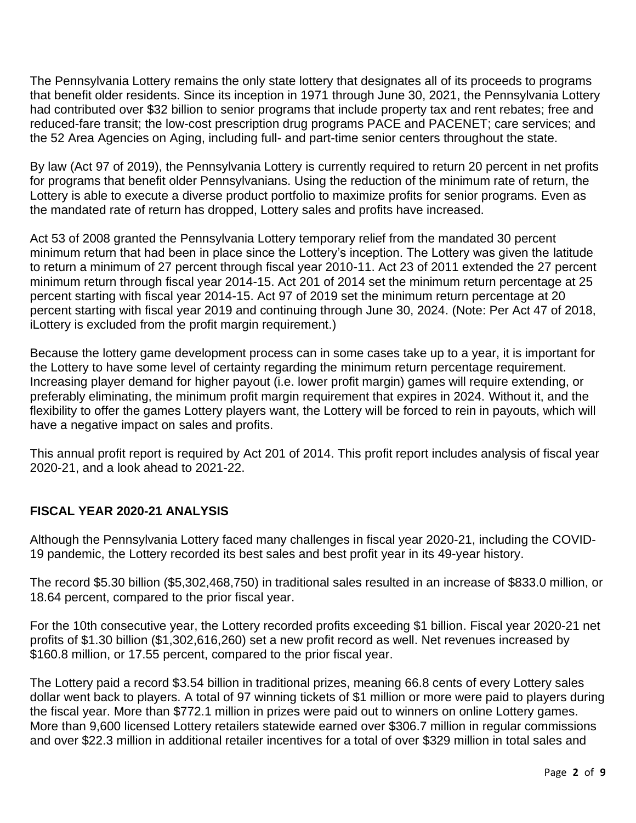The Pennsylvania Lottery remains the only state lottery that designates all of its proceeds to programs that benefit older residents. Since its inception in 1971 through June 30, 2021, the Pennsylvania Lottery had contributed over \$32 billion to senior programs that include property tax and rent rebates; free and reduced-fare transit; the low-cost prescription drug programs PACE and PACENET; care services; and the 52 Area Agencies on Aging, including full- and part-time senior centers throughout the state.

By law (Act 97 of 2019), the Pennsylvania Lottery is currently required to return 20 percent in net profits for programs that benefit older Pennsylvanians. Using the reduction of the minimum rate of return, the Lottery is able to execute a diverse product portfolio to maximize profits for senior programs. Even as the mandated rate of return has dropped, Lottery sales and profits have increased.

Act 53 of 2008 granted the Pennsylvania Lottery temporary relief from the mandated 30 percent minimum return that had been in place since the Lottery's inception. The Lottery was given the latitude to return a minimum of 27 percent through fiscal year 2010-11. Act 23 of 2011 extended the 27 percent minimum return through fiscal year 2014-15. Act 201 of 2014 set the minimum return percentage at 25 percent starting with fiscal year 2014-15. Act 97 of 2019 set the minimum return percentage at 20 percent starting with fiscal year 2019 and continuing through June 30, 2024. (Note: Per Act 47 of 2018, iLottery is excluded from the profit margin requirement.)

Because the lottery game development process can in some cases take up to a year, it is important for the Lottery to have some level of certainty regarding the minimum return percentage requirement. Increasing player demand for higher payout (i.e. lower profit margin) games will require extending, or preferably eliminating, the minimum profit margin requirement that expires in 2024. Without it, and the flexibility to offer the games Lottery players want, the Lottery will be forced to rein in payouts, which will have a negative impact on sales and profits.

This annual profit report is required by Act 201 of 2014. This profit report includes analysis of fiscal year 2020-21, and a look ahead to 2021-22.

## **FISCAL YEAR 2020-21 ANALYSIS**

Although the Pennsylvania Lottery faced many challenges in fiscal year 2020-21, including the COVID-19 pandemic, the Lottery recorded its best sales and best profit year in its 49-year history.

The record \$5.30 billion (\$5,302,468,750) in traditional sales resulted in an increase of \$833.0 million, or 18.64 percent, compared to the prior fiscal year.

For the 10th consecutive year, the Lottery recorded profits exceeding \$1 billion. Fiscal year 2020-21 net profits of \$1.30 billion (\$1,302,616,260) set a new profit record as well. Net revenues increased by \$160.8 million, or 17.55 percent, compared to the prior fiscal year.

The Lottery paid a record \$3.54 billion in traditional prizes, meaning 66.8 cents of every Lottery sales dollar went back to players. A total of 97 winning tickets of \$1 million or more were paid to players during the fiscal year. More than \$772.1 million in prizes were paid out to winners on online Lottery games. More than 9,600 licensed Lottery retailers statewide earned over \$306.7 million in regular commissions and over \$22.3 million in additional retailer incentives for a total of over \$329 million in total sales and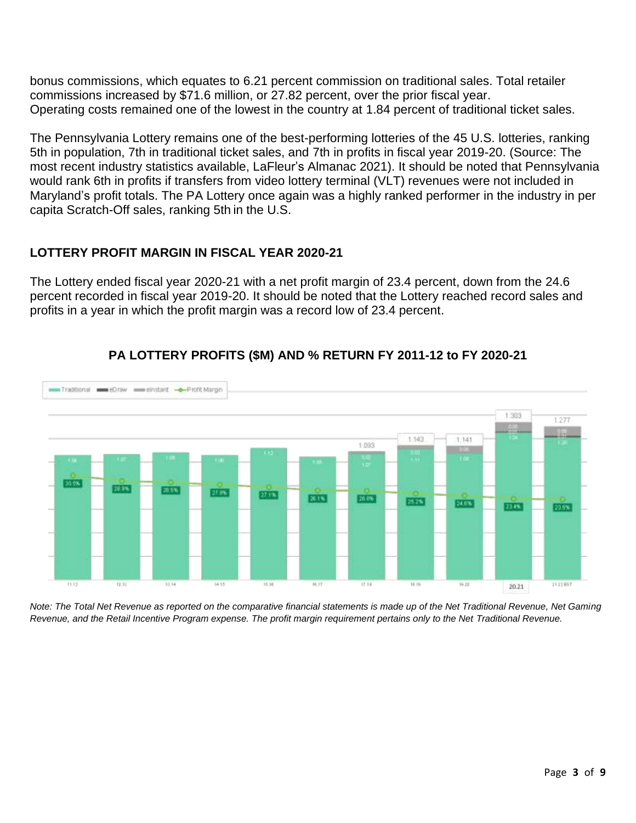bonus commissions, which equates to 6.21 percent commission on traditional sales. Total retailer commissions increased by \$71.6 million, or 27.82 percent, over the prior fiscal year. Operating costs remained one of the lowest in the country at 1.84 percent of traditional ticket sales.

The Pennsylvania Lottery remains one of the best-performing lotteries of the 45 U.S. lotteries, ranking 5th in population, 7th in traditional ticket sales, and 7th in profits in fiscal year 2019-20. (Source: The most recent industry statistics available, LaFleur's Almanac 2021). It should be noted that Pennsylvania would rank 6th in profits if transfers from video lottery terminal (VLT) revenues were not included in Maryland's profit totals. The PA Lottery once again was a highly ranked performer in the industry in per capita Scratch-Off sales, ranking 5th in the U.S.

## **LOTTERY PROFIT MARGIN IN FISCAL YEAR 2020-21**

The Lottery ended fiscal year 2020-21 with a net profit margin of 23.4 percent, down from the 24.6 percent recorded in fiscal year 2019-20. It should be noted that the Lottery reached record sales and profits in a year in which the profit margin was a record low of 23.4 percent.



# **PA LOTTERY PROFITS (\$M) AND % RETURN FY 2011-12 to FY 2020-21**

*Note: The Total Net Revenue as reported on the comparative financial statements is made up of the Net Traditional Revenue, Net Gaming Revenue, and the Retail Incentive Program expense. The profit margin requirement pertains only to the Net Traditional Revenue.*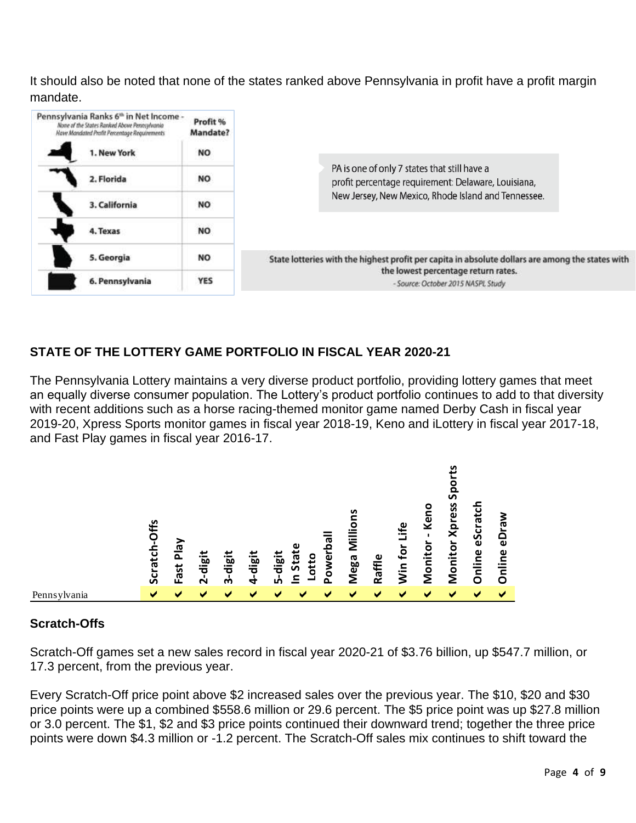It should also be noted that none of the states ranked above Pennsylvania in profit have a profit margin mandate.



# **STATE OF THE LOTTERY GAME PORTFOLIO IN FISCAL YEAR 2020-21**

The Pennsylvania Lottery maintains a very diverse product portfolio, providing lottery games that meet an equally diverse consumer population. The Lottery's product portfolio continues to add to that diversity with recent additions such as a horse racing-themed monitor game named Derby Cash in fiscal year 2019-20, Xpress Sports monitor games in fiscal year 2018-19, Keno and iLottery in fiscal year 2017-18, and Fast Play games in fiscal year 2016-17.



## **Scratch-Offs**

Scratch-Off games set a new sales record in fiscal year 2020-21 of \$3.76 billion, up \$547.7 million, or 17.3 percent, from the previous year.

Every Scratch-Off price point above \$2 increased sales over the previous year. The \$10, \$20 and \$30 price points were up a combined \$558.6 million or 29.6 percent. The \$5 price point was up \$27.8 million or 3.0 percent. The \$1, \$2 and \$3 price points continued their downward trend; together the three price points were down \$4.3 million or -1.2 percent. The Scratch-Off sales mix continues to shift toward the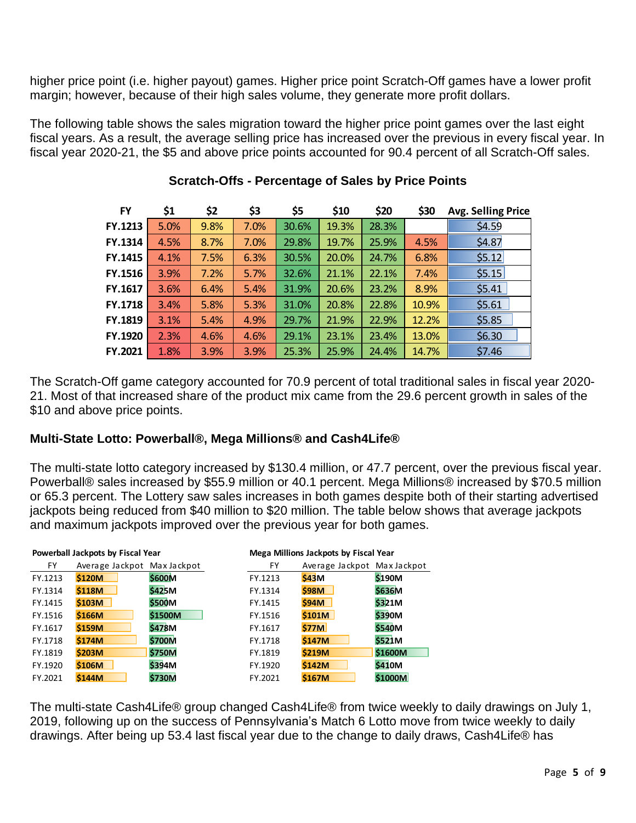higher price point (i.e. higher payout) games. Higher price point Scratch-Off games have a lower profit margin; however, because of their high sales volume, they generate more profit dollars.

The following table shows the sales migration toward the higher price point games over the last eight fiscal years. As a result, the average selling price has increased over the previous in every fiscal year. In fiscal year 2020-21, the \$5 and above price points accounted for 90.4 percent of all Scratch-Off sales.

| <b>FY</b>      | \$1  | \$2  | \$3  | \$5   | \$10  | \$20  | \$30  | <b>Avg. Selling Price</b> |
|----------------|------|------|------|-------|-------|-------|-------|---------------------------|
| FY.1213        | 5.0% | 9.8% | 7.0% | 30.6% | 19.3% | 28.3% |       | \$4.59                    |
| FY.1314        | 4.5% | 8.7% | 7.0% | 29.8% | 19.7% | 25.9% | 4.5%  | \$4.87                    |
| FY.1415        | 4.1% | 7.5% | 6.3% | 30.5% | 20.0% | 24.7% | 6.8%  | \$5.12                    |
| FY.1516        | 3.9% | 7.2% | 5.7% | 32.6% | 21.1% | 22.1% | 7.4%  | \$5.15                    |
| FY.1617        | 3.6% | 6.4% | 5.4% | 31.9% | 20.6% | 23.2% | 8.9%  | \$5.41                    |
| <b>FY.1718</b> | 3.4% | 5.8% | 5.3% | 31.0% | 20.8% | 22.8% | 10.9% | \$5.61                    |
| FY.1819        | 3.1% | 5.4% | 4.9% | 29.7% | 21.9% | 22.9% | 12.2% | \$5.85                    |
| FY.1920        | 2.3% | 4.6% | 4.6% | 29.1% | 23.1% | 23.4% | 13.0% | \$6.30                    |
| FY.2021        | 1.8% | 3.9% | 3.9% | 25.3% | 25.9% | 24.4% | 14.7% | \$7.46                    |

## **Scratch-Offs - Percentage of Sales by Price Points**

The Scratch-Off game category accounted for 70.9 percent of total traditional sales in fiscal year 2020- 21. Most of that increased share of the product mix came from the 29.6 percent growth in sales of the \$10 and above price points.

## **Multi-State Lotto: Powerball®, Mega Millions® and Cash4Life®**

The multi-state lotto category increased by \$130.4 million, or 47.7 percent, over the previous fiscal year. Powerball® sales increased by \$55.9 million or 40.1 percent. Mega Millions® increased by \$70.5 million or 65.3 percent. The Lottery saw sales increases in both games despite both of their starting advertised jackpots being reduced from \$40 million to \$20 million. The table below shows that average jackpots and maximum jackpots improved over the previous year for both games.

|         | Powerball Jackpots by Fiscal Year |               |         | Mega Millions Jackpots by Fiscal Year |         |  |  |  |
|---------|-----------------------------------|---------------|---------|---------------------------------------|---------|--|--|--|
| FY.     | Average Jackpot Max Jackpot       |               | FY.     | Average Jackpot Max Jackpot           |         |  |  |  |
| FY.1213 | <b>\$120M</b>                     | <b>\$600M</b> | FY.1213 | \$43M                                 | \$190M  |  |  |  |
| FY.1314 | \$118M                            | <b>\$425M</b> | FY.1314 | \$98M                                 | \$636M  |  |  |  |
| FY.1415 | \$103M                            | \$500M        | FY.1415 | \$94M                                 | \$321M  |  |  |  |
| FY.1516 | \$166M                            | \$1500M       | FY.1516 | \$101M                                | \$390M  |  |  |  |
| FY.1617 | \$159M                            | <b>\$478M</b> | FY.1617 | \$77M                                 | \$540M  |  |  |  |
| FY.1718 | \$174M                            | \$700M        | FY.1718 | \$147M                                | \$521M  |  |  |  |
| FY.1819 | \$203M                            | <b>\$750M</b> | FY.1819 | \$219M                                | \$1600M |  |  |  |
| FY.1920 | \$106M                            | <b>\$394M</b> | FY.1920 | \$142M                                | \$410M  |  |  |  |
| FY.2021 | \$144M                            | <b>\$730M</b> | FY.2021 | <b>\$167M</b>                         | \$1000M |  |  |  |

The multi-state Cash4Life® group changed Cash4Life® from twice weekly to daily drawings on July 1, 2019, following up on the success of Pennsylvania's Match 6 Lotto move from twice weekly to daily drawings. After being up 53.4 last fiscal year due to the change to daily draws, Cash4Life® has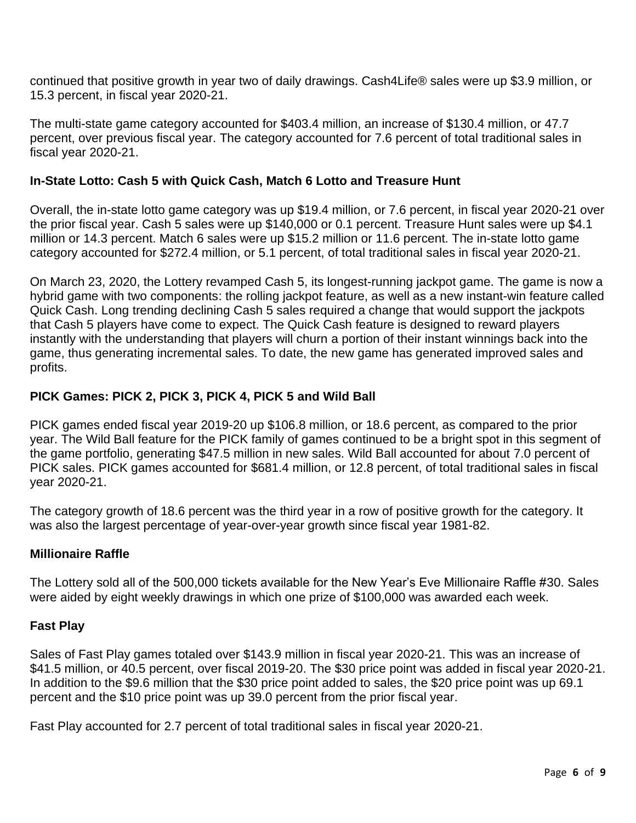continued that positive growth in year two of daily drawings. Cash4Life® sales were up \$3.9 million, or 15.3 percent, in fiscal year 2020-21.

The multi-state game category accounted for \$403.4 million, an increase of \$130.4 million, or 47.7 percent, over previous fiscal year. The category accounted for 7.6 percent of total traditional sales in fiscal year 2020-21.

#### **In-State Lotto: Cash 5 with Quick Cash, Match 6 Lotto and Treasure Hunt**

Overall, the in-state lotto game category was up \$19.4 million, or 7.6 percent, in fiscal year 2020-21 over the prior fiscal year. Cash 5 sales were up \$140,000 or 0.1 percent. Treasure Hunt sales were up \$4.1 million or 14.3 percent. Match 6 sales were up \$15.2 million or 11.6 percent. The in-state lotto game category accounted for \$272.4 million, or 5.1 percent, of total traditional sales in fiscal year 2020-21.

On March 23, 2020, the Lottery revamped Cash 5, its longest-running jackpot game. The game is now a hybrid game with two components: the rolling jackpot feature, as well as a new instant-win feature called Quick Cash. Long trending declining Cash 5 sales required a change that would support the jackpots that Cash 5 players have come to expect. The Quick Cash feature is designed to reward players instantly with the understanding that players will churn a portion of their instant winnings back into the game, thus generating incremental sales. To date, the new game has generated improved sales and profits.

## **PICK Games: PICK 2, PICK 3, PICK 4, PICK 5 and Wild Ball**

PICK games ended fiscal year 2019-20 up \$106.8 million, or 18.6 percent, as compared to the prior year. The Wild Ball feature for the PICK family of games continued to be a bright spot in this segment of the game portfolio, generating \$47.5 million in new sales. Wild Ball accounted for about 7.0 percent of PICK sales. PICK games accounted for \$681.4 million, or 12.8 percent, of total traditional sales in fiscal year 2020-21.

The category growth of 18.6 percent was the third year in a row of positive growth for the category. It was also the largest percentage of year-over-year growth since fiscal year 1981-82.

## **Millionaire Raffle**

The Lottery sold all of the 500,000 tickets available for the New Year's Eve Millionaire Raffle #30. Sales were aided by eight weekly drawings in which one prize of \$100,000 was awarded each week.

## **Fast Play**

Sales of Fast Play games totaled over \$143.9 million in fiscal year 2020-21. This was an increase of \$41.5 million, or 40.5 percent, over fiscal 2019-20. The \$30 price point was added in fiscal year 2020-21. In addition to the \$9.6 million that the \$30 price point added to sales, the \$20 price point was up 69.1 percent and the \$10 price point was up 39.0 percent from the prior fiscal year.

Fast Play accounted for 2.7 percent of total traditional sales in fiscal year 2020-21.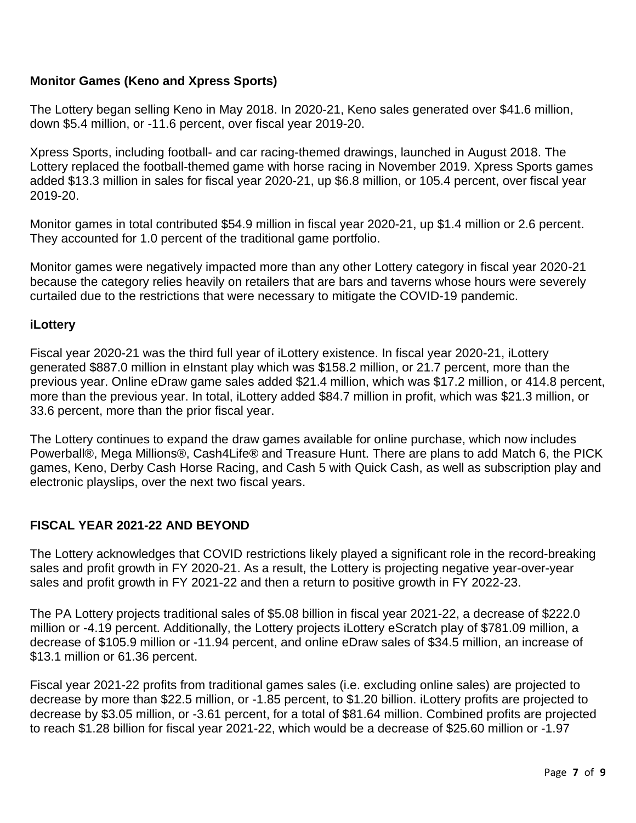## **Monitor Games (Keno and Xpress Sports)**

The Lottery began selling Keno in May 2018. In 2020-21, Keno sales generated over \$41.6 million, down \$5.4 million, or -11.6 percent, over fiscal year 2019-20.

Xpress Sports, including football- and car racing-themed drawings, launched in August 2018. The Lottery replaced the football-themed game with horse racing in November 2019. Xpress Sports games added \$13.3 million in sales for fiscal year 2020-21, up \$6.8 million, or 105.4 percent, over fiscal year 2019-20.

Monitor games in total contributed \$54.9 million in fiscal year 2020-21, up \$1.4 million or 2.6 percent. They accounted for 1.0 percent of the traditional game portfolio.

Monitor games were negatively impacted more than any other Lottery category in fiscal year 2020-21 because the category relies heavily on retailers that are bars and taverns whose hours were severely curtailed due to the restrictions that were necessary to mitigate the COVID-19 pandemic.

#### **iLottery**

Fiscal year 2020-21 was the third full year of iLottery existence. In fiscal year 2020-21, iLottery generated \$887.0 million in eInstant play which was \$158.2 million, or 21.7 percent, more than the previous year. Online eDraw game sales added \$21.4 million, which was \$17.2 million, or 414.8 percent, more than the previous year. In total, iLottery added \$84.7 million in profit, which was \$21.3 million, or 33.6 percent, more than the prior fiscal year.

The Lottery continues to expand the draw games available for online purchase, which now includes Powerball®, Mega Millions®, Cash4Life® and Treasure Hunt. There are plans to add Match 6, the PICK games, Keno, Derby Cash Horse Racing, and Cash 5 with Quick Cash, as well as subscription play and electronic playslips, over the next two fiscal years.

## **FISCAL YEAR 2021-22 AND BEYOND**

The Lottery acknowledges that COVID restrictions likely played a significant role in the record-breaking sales and profit growth in FY 2020-21. As a result, the Lottery is projecting negative year-over-year sales and profit growth in FY 2021-22 and then a return to positive growth in FY 2022-23.

The PA Lottery projects traditional sales of \$5.08 billion in fiscal year 2021-22, a decrease of \$222.0 million or -4.19 percent. Additionally, the Lottery projects iLottery eScratch play of \$781.09 million, a decrease of \$105.9 million or -11.94 percent, and online eDraw sales of \$34.5 million, an increase of \$13.1 million or 61.36 percent.

Fiscal year 2021-22 profits from traditional games sales (i.e. excluding online sales) are projected to decrease by more than \$22.5 million, or -1.85 percent, to \$1.20 billion. iLottery profits are projected to decrease by \$3.05 million, or -3.61 percent, for a total of \$81.64 million. Combined profits are projected to reach \$1.28 billion for fiscal year 2021-22, which would be a decrease of \$25.60 million or -1.97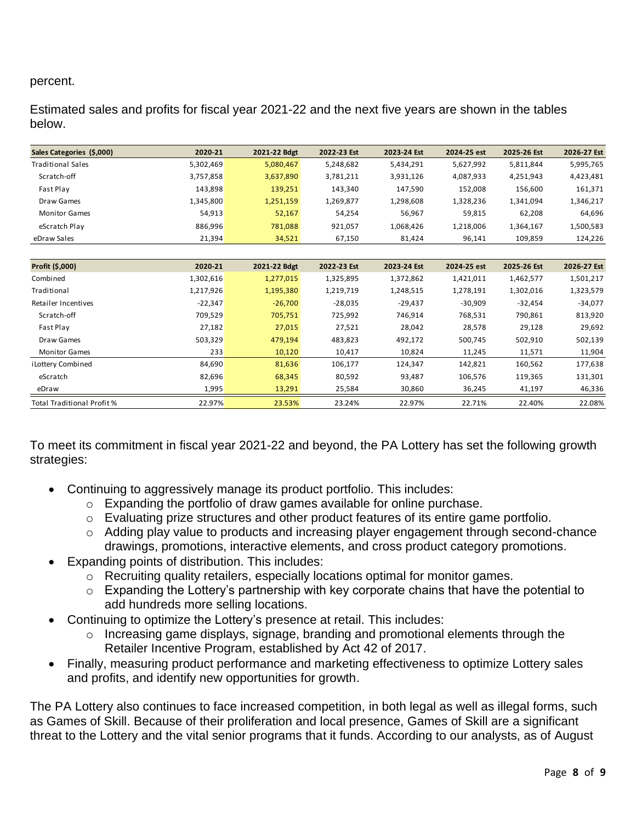#### percent.

Estimated sales and profits for fiscal year 2021-22 and the next five years are shown in the tables below.

| Sales Categories (\$,000)         | 2020-21   | 2021-22 Bdgt | 2022-23 Est | 2023-24 Est | 2024-25 est | 2025-26 Est | 2026-27 Est |
|-----------------------------------|-----------|--------------|-------------|-------------|-------------|-------------|-------------|
| <b>Traditional Sales</b>          | 5,302,469 | 5,080,467    | 5,248,682   | 5,434,291   | 5,627,992   | 5,811,844   | 5,995,765   |
| Scratch-off                       | 3,757,858 | 3,637,890    | 3,781,211   | 3,931,126   | 4,087,933   | 4,251,943   | 4,423,481   |
| Fast Play                         | 143,898   | 139,251      | 143,340     | 147,590     | 152,008     | 156,600     | 161,371     |
| Draw Games                        | 1,345,800 | 1,251,159    | 1,269,877   | 1,298,608   | 1,328,236   | 1,341,094   | 1,346,217   |
| <b>Monitor Games</b>              | 54,913    | 52,167       | 54,254      | 56,967      | 59,815      | 62,208      | 64,696      |
| eScratch Play                     | 886,996   | 781,088      | 921,057     | 1,068,426   | 1,218,006   | 1,364,167   | 1,500,583   |
| eDraw Sales                       | 21,394    | 34,521       | 67,150      | 81,424      | 96,141      | 109,859     | 124,226     |
|                                   |           |              |             |             |             |             |             |
| Profit (\$,000)                   | 2020-21   | 2021-22 Bdgt | 2022-23 Est | 2023-24 Est | 2024-25 est | 2025-26 Est | 2026-27 Est |
| Combined                          | 1,302,616 | 1,277,015    | 1,325,895   | 1,372,862   | 1,421,011   | 1,462,577   | 1,501,217   |
| Traditional                       | 1,217,926 | 1,195,380    | 1,219,719   | 1,248,515   | 1,278,191   | 1,302,016   | 1,323,579   |
| Retailer Incentives               | $-22,347$ | $-26,700$    | $-28,035$   | $-29,437$   | $-30,909$   | $-32,454$   | $-34,077$   |
| Scratch-off                       | 709,529   | 705,751      | 725,992     | 746,914     | 768,531     | 790,861     | 813,920     |
| Fast Play                         | 27,182    | 27,015       | 27,521      | 28,042      | 28,578      | 29,128      | 29,692      |
| Draw Games                        | 503,329   | 479,194      | 483,823     | 492,172     | 500,745     | 502,910     | 502,139     |
| <b>Monitor Games</b>              | 233       | 10,120       | 10,417      | 10,824      | 11,245      | 11,571      | 11,904      |
| i Lottery Combined                | 84,690    | 81,636       | 106,177     | 124,347     | 142,821     | 160,562     | 177,638     |
| eScratch                          | 82,696    | 68,345       | 80,592      | 93,487      | 106,576     | 119,365     | 131,301     |
| eDraw                             | 1,995     | 13,291       | 25,584      | 30,860      | 36,245      | 41,197      | 46,336      |
| <b>Total Traditional Profit %</b> | 22.97%    | 23.53%       | 23.24%      | 22.97%      | 22.71%      | 22.40%      | 22.08%      |

To meet its commitment in fiscal year 2021-22 and beyond, the PA Lottery has set the following growth strategies:

- Continuing to aggressively manage its product portfolio. This includes:
	- o Expanding the portfolio of draw games available for online purchase.
	- o Evaluating prize structures and other product features of its entire game portfolio.
	- o Adding play value to products and increasing player engagement through second-chance drawings, promotions, interactive elements, and cross product category promotions.
- Expanding points of distribution. This includes:
	- o Recruiting quality retailers, especially locations optimal for monitor games.
	- o Expanding the Lottery's partnership with key corporate chains that have the potential to add hundreds more selling locations.
- Continuing to optimize the Lottery's presence at retail. This includes:
	- o Increasing game displays, signage, branding and promotional elements through the Retailer Incentive Program, established by Act 42 of 2017.
- Finally, measuring product performance and marketing effectiveness to optimize Lottery sales and profits, and identify new opportunities for growth.

The PA Lottery also continues to face increased competition, in both legal as well as illegal forms, such as Games of Skill. Because of their proliferation and local presence, Games of Skill are a significant threat to the Lottery and the vital senior programs that it funds. According to our analysts, as of August